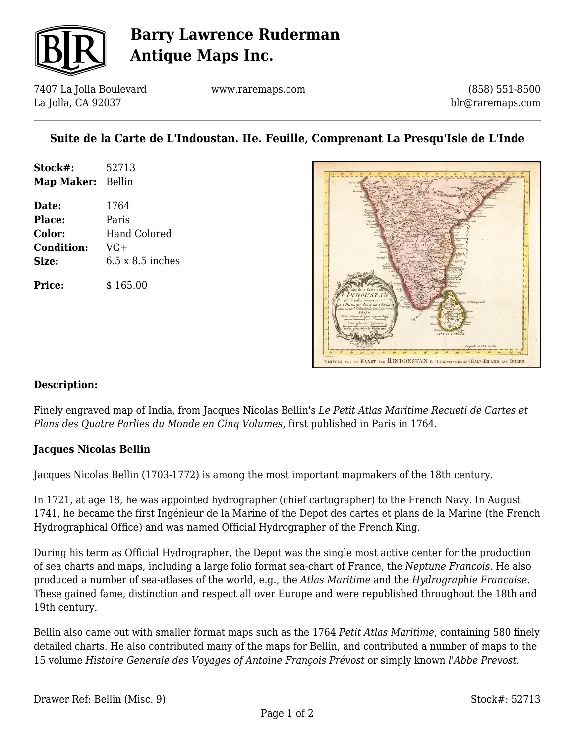

## **Barry Lawrence Ruderman Antique Maps Inc.**

7407 La Jolla Boulevard La Jolla, CA 92037

www.raremaps.com

(858) 551-8500 blr@raremaps.com

### **Suite de la Carte de L'Indoustan. IIe. Feuille, Comprenant La Presqu'Isle de L'Inde**

| Stock#:           | 52713 |
|-------------------|-------|
| Map Maker: Bellin |       |

**Date:** 1764 **Place:** Paris **Color:** Hand Colored **Condition:** VG+ **Size:** 6.5 x 8.5 inches

**Price:**  $$165.00$ 



#### **Description:**

Finely engraved map of India, from Jacques Nicolas Bellin's *Le Petit Atlas Maritime Recueti de Cartes et Plans des Quatre Parlies du Monde en Cinq Volumes,* first published in Paris in 1764.

#### **Jacques Nicolas Bellin**

Jacques Nicolas Bellin (1703-1772) is among the most important mapmakers of the 18th century.

In 1721, at age 18, he was appointed hydrographer (chief cartographer) to the French Navy. In August 1741, he became the first Ingénieur de la Marine of the Depot des cartes et plans de la Marine (the French Hydrographical Office) and was named Official Hydrographer of the French King.

During his term as Official Hydrographer, the Depot was the single most active center for the production of sea charts and maps, including a large folio format sea-chart of France, the *Neptune Francois*. He also produced a number of sea-atlases of the world, e.g., the *Atlas Maritime* and the *Hydrographie Francaise*. These gained fame, distinction and respect all over Europe and were republished throughout the 18th and 19th century.

Bellin also came out with smaller format maps such as the 1764 *Petit Atlas Maritime*, containing 580 finely detailed charts. He also contributed many of the maps for Bellin, and contributed a number of maps to the 15 volume *Histoire Generale des Voyages of Antoine François Prévost* or simply known *l'Abbe Prevost*.